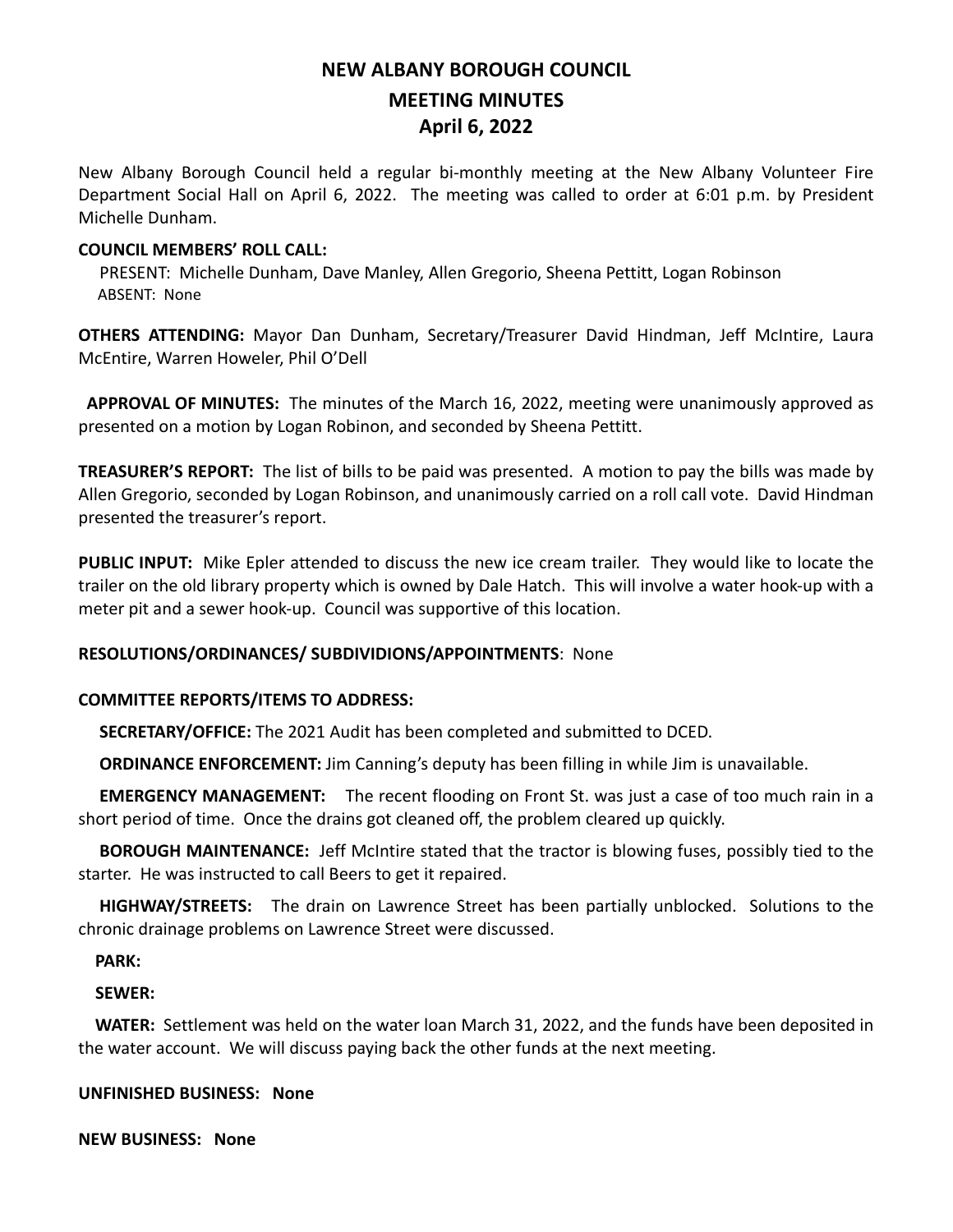# **NEW ALBANY BOROUGH COUNCIL MEETING MINUTES April 6, 2022**

New Albany Borough Council held a regular bi-monthly meeting at the New Albany Volunteer Fire Department Social Hall on April 6, 2022. The meeting was called to order at 6:01 p.m. by President Michelle Dunham.

## **COUNCIL MEMBERS' ROLL CALL:**

PRESENT: Michelle Dunham, Dave Manley, Allen Gregorio, Sheena Pettitt, Logan Robinson ABSENT: None

**OTHERS ATTENDING:** Mayor Dan Dunham, Secretary/Treasurer David Hindman, Jeff McIntire, Laura McEntire, Warren Howeler, Phil O'Dell

 **APPROVAL OF MINUTES:** The minutes of the March 16, 2022, meeting were unanimously approved as presented on a motion by Logan Robinon, and seconded by Sheena Pettitt.

**TREASURER'S REPORT:** The list of bills to be paid was presented. A motion to pay the bills was made by Allen Gregorio, seconded by Logan Robinson, and unanimously carried on a roll call vote. David Hindman presented the treasurer's report.

**PUBLIC INPUT:** Mike Epler attended to discuss the new ice cream trailer. They would like to locate the trailer on the old library property which is owned by Dale Hatch. This will involve a water hook-up with a meter pit and a sewer hook-up. Council was supportive of this location.

## **RESOLUTIONS/ORDINANCES/ SUBDIVIDIONS/APPOINTMENTS**: None

## **COMMITTEE REPORTS/ITEMS TO ADDRESS:**

 **SECRETARY/OFFICE:** The 2021 Audit has been completed and submitted to DCED.

**ORDINANCE ENFORCEMENT:** Jim Canning's deputy has been filling in while Jim is unavailable.

 **EMERGENCY MANAGEMENT:** The recent flooding on Front St. was just a case of too much rain in a short period of time. Once the drains got cleaned off, the problem cleared up quickly.

 **BOROUGH MAINTENANCE:** Jeff McIntire stated that the tractor is blowing fuses, possibly tied to the starter. He was instructed to call Beers to get it repaired.

 **HIGHWAY/STREETS:** The drain on Lawrence Street has been partially unblocked. Solutions to the chronic drainage problems on Lawrence Street were discussed.

 **PARK:** 

## **SEWER:**

 **WATER:** Settlement was held on the water loan March 31, 2022, and the funds have been deposited in the water account. We will discuss paying back the other funds at the next meeting.

## **UNFINISHED BUSINESS: None**

**NEW BUSINESS: None**